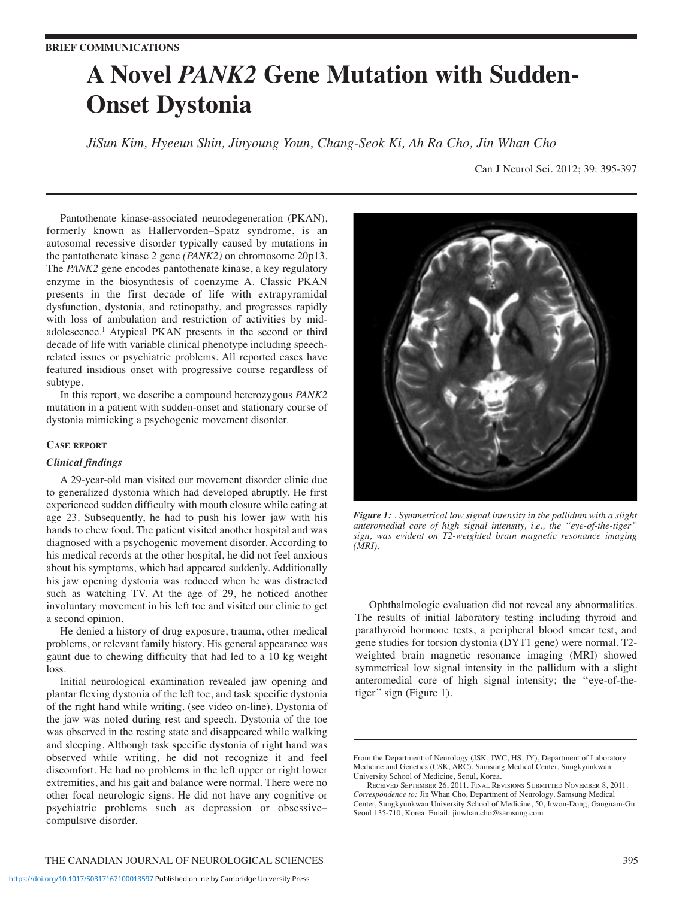# **A Novel** *PANK2* **Gene Mutation with Sudden-Onset Dystonia**

*JiSun Kim, Hyeeun Shin, Jinyoung Youn, Chang-Seok Ki, Ah Ra Cho, Jin Whan Cho*

Can J Neurol Sci. 2012; 39: 395-397

Pantothenate kinase-associated neurodegeneration (PKAN), formerly known as Hallervorden–Spatz syndrome, is an autosomal recessive disorder typically caused by mutations in the pantothenate kinase 2 gene *(PANK2)* on chromosome 20p13. The *PANK2* gene encodes pantothenate kinase, a key regulatory enzyme in the biosynthesis of coenzyme A. Classic PKAN presents in the first decade of life with extrapyramidal dysfunction, dystonia, and retinopathy, and progresses rapidly with loss of ambulation and restriction of activities by midadolescence.1 Atypical PKAN presents in the second or third decade of life with variable clinical phenotype including speechrelated issues or psychiatric problems. All reported cases have featured insidious onset with progressive course regardless of subtype.

In this report, we describe a compound heterozygous *PANK2* mutation in a patient with sudden-onset and stationary course of dystonia mimicking a psychogenic movement disorder.

## **CASE REPORT**

### *Clinical findings*

A 29-year-old man visited our movement disorder clinic due to generalized dystonia which had developed abruptly. He first experienced sudden difficulty with mouth closure while eating at age 23. Subsequently, he had to push his lower jaw with his hands to chew food. The patient visited another hospital and was diagnosed with a psychogenic movement disorder. According to his medical records at the other hospital, he did not feel anxious about his symptoms, which had appeared suddenly. Additionally his jaw opening dystonia was reduced when he was distracted such as watching TV. At the age of 29, he noticed another involuntary movement in his left toe and visited our clinic to get a second opinion.

He denied a history of drug exposure, trauma, other medical problems, or relevant family history. His general appearance was gaunt due to chewing difficulty that had led to a 10 kg weight loss.

Initial neurological examination revealed jaw opening and plantar flexing dystonia of the left toe, and task specific dystonia of the right hand while writing. (see video on-line). Dystonia of the jaw was noted during rest and speech. Dystonia of the toe was observed in the resting state and disappeared while walking and sleeping. Although task specific dystonia of right hand was observed while writing, he did not recognize it and feel discomfort. He had no problems in the left upper or right lower extremities, and his gait and balance were normal. There were no other focal neurologic signs. He did not have any cognitive or psychiatric problems such as depression or obsessive– compulsive disorder.



*Figure 1: . Symmetrical low signal intensity in the pallidum with a slight anteromedial core of high signal intensity, i.e., the ''eye-of-the-tiger'' sign, was evident on T2-weighted brain magnetic resonance imaging (MRI).*

Ophthalmologic evaluation did not reveal any abnormalities. The results of initial laboratory testing including thyroid and parathyroid hormone tests, a peripheral blood smear test, and gene studies for torsion dystonia (DYT1 gene) were normal. T2 weighted brain magnetic resonance imaging (MRI) showed symmetrical low signal intensity in the pallidum with a slight anteromedial core of high signal intensity; the ''eye-of-thetiger'' sign (Figure 1).

From the Department of Neurology (JSK, JWC, HS, JY), Department of Laboratory Medicine and Genetics (CSK, ARC), Samsung Medical Center, Sungkyunkwan University School of Medicine, Seoul, Korea.

RECEIVED SEPTEMBER 26, 2011. FINAL REVISIONS SUBMITTED NOVEMBER 8, 2011. *Correspondence to:* Jin Whan Cho, Department of Neurology, Samsung Medical Center, Sungkyunkwan University School of Medicine, 50, Irwon-Dong, Gangnam-Gu Seoul 135-710, Korea. Email: jinwhan.cho@samsung.com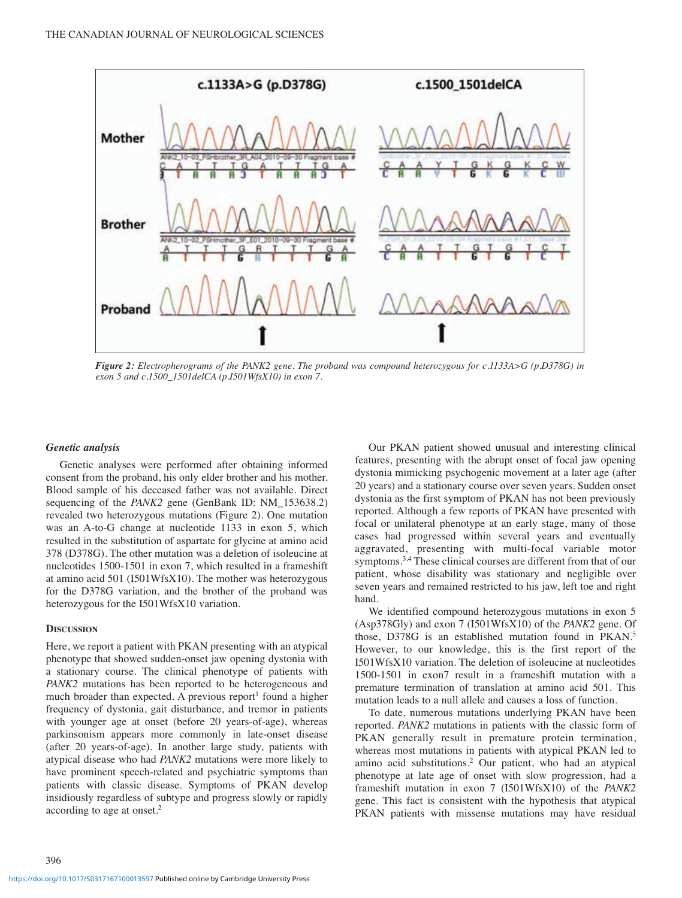

*Figure 2: Electropherograms of the PANK2 gene. The proband was compound heterozygous for c.1133A>G (p.D378G) in exon 5 and c.1500\_1501delCA (p.I501WfsX10) in exon 7.*

#### *Genetic analysis*

Genetic analyses were performed after obtaining informed consent from the proband, his only elder brother and his mother. Blood sample of his deceased father was not available. Direct sequencing of the *PANK2* gene (GenBank ID: NM\_153638.2) revealed two heterozygous mutations (Figure 2). One mutation was an A-to-G change at nucleotide 1133 in exon 5, which resulted in the substitution of aspartate for glycine at amino acid 378 (D378G). The other mutation was a deletion of isoleucine at nucleotides 1500-1501 in exon 7, which resulted in a frameshift at amino acid 501 (I501WfsX10). The mother was heterozygous for the D378G variation, and the brother of the proband was heterozygous for the I501WfsX10 variation.

## **DISCUSSION**

Here, we report a patient with PKAN presenting with an atypical phenotype that showed sudden-onset jaw opening dystonia with a stationary course. The clinical phenotype of patients with *PANK2* mutations has been reported to be heterogeneous and much broader than expected. A previous report<sup>1</sup> found a higher frequency of dystonia, gait disturbance, and tremor in patients with younger age at onset (before 20 years-of-age), whereas parkinsonism appears more commonly in late-onset disease (after 20 years-of-age). In another large study, patients with atypical disease who had *PANK2* mutations were more likely to have prominent speech-related and psychiatric symptoms than patients with classic disease. Symptoms of PKAN develop insidiously regardless of subtype and progress slowly or rapidly according to age at onset.2

Our PKAN patient showed unusual and interesting clinical features, presenting with the abrupt onset of focal jaw opening dystonia mimicking psychogenic movement at a later age (after 20 years) and a stationary course over seven years. Sudden onset dystonia as the first symptom of PKAN has not been previously reported. Although a few reports of PKAN have presented with focal or unilateral phenotype at an early stage, many of those cases had progressed within several years and eventually aggravated, presenting with multi-focal variable motor symptoms.<sup>3,4</sup> These clinical courses are different from that of our patient, whose disability was stationary and negligible over seven years and remained restricted to his jaw, left toe and right hand.

We identified compound heterozygous mutations in exon 5 (Asp378Gly) and exon 7 (I501WfsX10) of the *PANK2* gene. Of those, D378G is an established mutation found in PKAN.5 However, to our knowledge, this is the first report of the I501WfsX10 variation. The deletion of isoleucine at nucleotides 1500-1501 in exon7 result in a frameshift mutation with a premature termination of translation at amino acid 501. This mutation leads to a null allele and causes a loss of function.

To date, numerous mutations underlying PKAN have been reported. *PANK2* mutations in patients with the classic form of PKAN generally result in premature protein termination, whereas most mutations in patients with atypical PKAN led to amino acid substitutions.2 Our patient, who had an atypical phenotype at late age of onset with slow progression, had a frameshift mutation in exon 7 (I501WfsX10) of the *PANK2* gene. This fact is consistent with the hypothesis that atypical PKAN patients with missense mutations may have residual